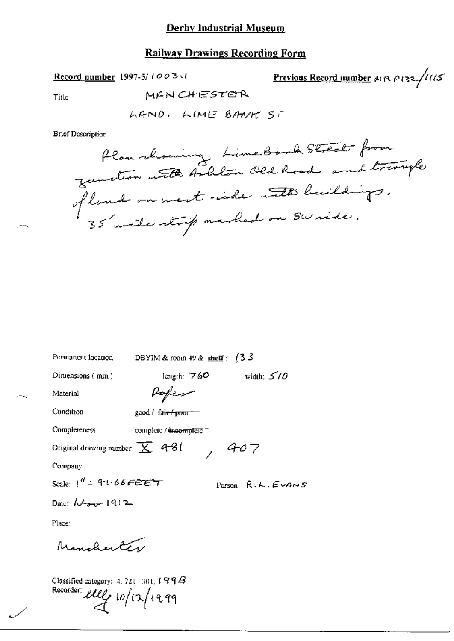### **Derby Industrial Museum**

## **Railway Drawings Recording Form**

Record number 1997-5/1003-1

Previous Record number  $\kappa$   $\alpha$   $\rho$  132/11/5

Title

MANCHESTER

**Brief Description** 

Plan nhaming LimeBond Street from<br>Jean north Andlin Old Road and triouple 35 wide strip marked on Swride.

| Permanent location                          | (33<br>DBYIM & room $49$ & shelf:               |
|---------------------------------------------|-------------------------------------------------|
| Dimensions (mm)                             | width: $5/0$<br>length: $760$                   |
| Material                                    | Paper                                           |
| Condition                                   | good / fa <del>ir / pao</del> ri                |
| Completeness                                | complete / <del>पेमकता</del> pसिंह <sup>म</sup> |
| Original drawing number $\overline{X}$ 4-81 | 7 P                                             |
| Company:                                    |                                                 |
| Scale: $1'' = 4 \cdot 66$ FEET              | Person: $R.$ <i>k.</i> $E$ <i>vans</i>          |
| Date: $\mathcal{N}_{\text{max}}$ 1912       |                                                 |
| Place:                                      |                                                 |
| Mancherte                                   |                                                 |
|                                             |                                                 |

Classified category: 4, 721, 301,  $199B$ Recorder eller 10/12/1999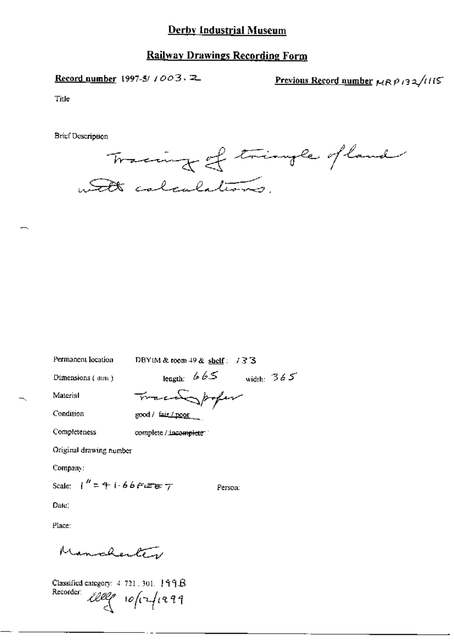## Derby Industrial Museum

### **Railway Drawings Recording Form**

Record number 1997-5/ 1003, 2

Previous Record number  $\mu_R \rho_B \frac{1}{3} \sqrt{115}$ 

Title

**Brief Description** 

Tracing of triangle of land with calculations.

Permanent location

DBYIM & room  $+9$  & shelf: /33

Dimensions (mm)

length:  $665$  width:  $365$ 

Person:

Condition

Completeness

Material

Tracadopofer good / fair / poor

complete / incomplete

Original drawing number

Company:

Scale:  $1'' = 4 + 66$   $F = 7$ 

Date:

Place:

Manchenter

Classified category:  $4, 721, 301, 199B$ Recorder:  $100$   $10$   $\frac{1}{3}$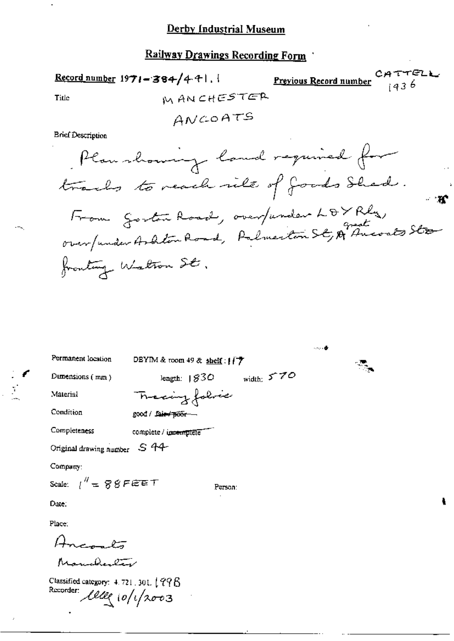## Railway Drawings Recording Form

<mark>4 TTELL</mark><br>1436 Previous Record number Record number 1971-384/441. MANCHESTER Title ANGOATS **Brief Description** Plan showing land required for

trails to reach nile of goods Shead.  
From a a total, or an function 
$$
LPYRly
$$
,  
or an function Arldim Roud, Palmarton S&  $HP$  Ancosts Ste-  
fronting Walton St.

|                                                                              |                                  | -∞⊶ de |  |  |  |
|------------------------------------------------------------------------------|----------------------------------|--------|--|--|--|
| Permanent location                                                           | DBYIM & room 49 & shelf: $177$   |        |  |  |  |
| Dimensions $(mn)$                                                            | width: $570$<br>length: $1830$   |        |  |  |  |
| Material                                                                     | Tracing folice                   |        |  |  |  |
| Condition                                                                    | good / fa <del>ir / poor —</del> |        |  |  |  |
| Completeness                                                                 | complete / imeningtete           |        |  |  |  |
| Original drawing number S 44                                                 |                                  |        |  |  |  |
| Company:                                                                     |                                  |        |  |  |  |
| Scale: $1'' = 88$ FEET<br>Person:                                            |                                  |        |  |  |  |
| Date:                                                                        |                                  |        |  |  |  |
| Place:                                                                       |                                  |        |  |  |  |
| تتلبين                                                                       |                                  |        |  |  |  |
| $h_{\text{max}} = 0.27$                                                      |                                  |        |  |  |  |
| Classified category: $4.721$ , 301, $1.998$<br>Recorder:<br>letter 10/1/2003 |                                  |        |  |  |  |

ŧ

 $\mathbb{R}^2$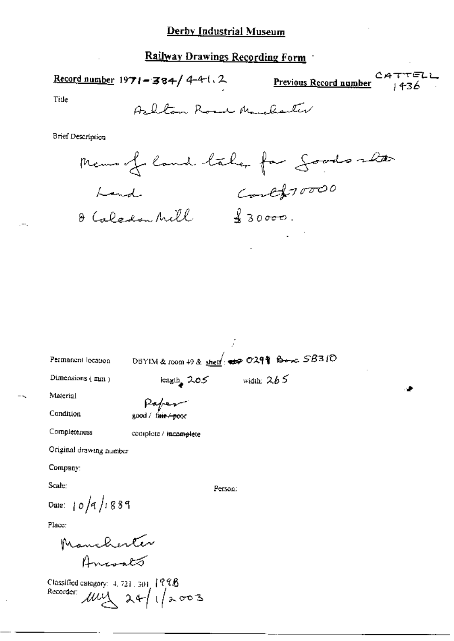# Derby Industrial Museum

# $\ddot{\phantom{a}}$

| <u>Railway Drawings Recording Form</u> |                                                                      |  |  |  |  |  |
|----------------------------------------|----------------------------------------------------------------------|--|--|--|--|--|
|                                        | Record number $1971 - 384 / 4 - 4$ . 2<br>Previous Record number     |  |  |  |  |  |
| Title                                  | Ashlan Road Manchaeler                                               |  |  |  |  |  |
| Brief Description                      |                                                                      |  |  |  |  |  |
|                                        | Memorfoland taken for goods alter                                    |  |  |  |  |  |
| Land                                   |                                                                      |  |  |  |  |  |
|                                        | controvers<br>O Caledon Mill                                         |  |  |  |  |  |
|                                        |                                                                      |  |  |  |  |  |
|                                        |                                                                      |  |  |  |  |  |
|                                        |                                                                      |  |  |  |  |  |
|                                        |                                                                      |  |  |  |  |  |
|                                        |                                                                      |  |  |  |  |  |
| Permanent lecation                     | DBYIM & room 49 & shelf: $\Rightarrow$ 029 $\frac{1}{2}$ Box $SB310$ |  |  |  |  |  |
| Dimensions (mm)                        | length $205$ width: $265$                                            |  |  |  |  |  |
| Material                               |                                                                      |  |  |  |  |  |
| Condition                              | Paper<br>good / fair / poor                                          |  |  |  |  |  |
| Completeness                           | complete / incomplete                                                |  |  |  |  |  |
| Original drawing number                |                                                                      |  |  |  |  |  |
| Company:                               |                                                                      |  |  |  |  |  |
| Scale:                                 | Person:                                                              |  |  |  |  |  |
| Date: $10/9/1889$                      |                                                                      |  |  |  |  |  |
| Place:                                 |                                                                      |  |  |  |  |  |
|                                        |                                                                      |  |  |  |  |  |
| Manchenter<br>Arresato                 |                                                                      |  |  |  |  |  |

Classified category: 4, 721, 301 1998<br>Recorder:  $\mu\nu\Delta$  24/1/2003

--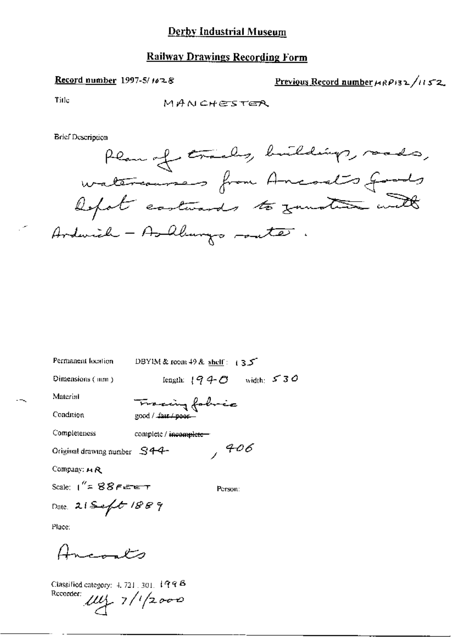## **Railway Drawings Recording Form**

#### Record number 1997-5/ $1028$

Previous Record number  $\mu_R \rho_{13}$   $\lambda_{11}$   $\zeta$  2

Title

MANCHESTER

**Brief Description** 



| Permanent location                     | DBYIM & room $49$ & shelf: $135$  |
|----------------------------------------|-----------------------------------|
| Dimensions (mm)                        | length: $1940$ width: $530$       |
| Material                               | Tracing fabric                    |
| Condition                              | good / fair / poor-               |
| Completeness                           | complete / <del>incomplete-</del> |
| Original drawing number $S44-$         | , 406                             |
| Company: $A \mathcal{R}$               |                                   |
| Scale: $1''$ = $88$ F <del>ete t</del> | Person:                           |
| Date 21 Seft 1889                      |                                   |
| Place:                                 |                                   |
|                                        |                                   |

Classified category:  $4, 721, 301, 1998$  $r_{\text{recoorder}}$   $\mu\mu$  7/1/2000